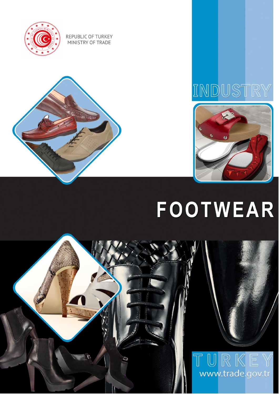







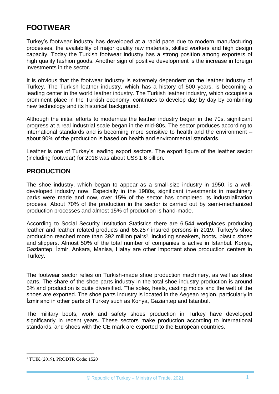## **FOOTWEAR**

Turkey's footwear industry has developed at a rapid pace due to modern manufacturing processes, the availability of major quality raw materials, skilled workers and high design capacity. Today the Turkish footwear industry has a strong position among exporters of high quality fashion goods. Another sign of positive development is the increase in foreign investments in the sector.

It is obvious that the footwear industry is extremely dependent on the leather industry of Turkey. The Turkish leather industry, which has a history of 500 years, is becoming a leading center in the world leather industry. The Turkish leather industry, which occupies a prominent place in the Turkish economy, continues to develop day by day by combining new technology and its historical background.

Although the initial efforts to modernize the leather industry began in the 70s, significant progress at a real industrial scale began in the mid-80s. The sector produces according to international standards and is becoming more sensitive to health and the environment – about 90% of the production is based on health and environmental standards.

Leather is one of Turkey's leading export sectors. The export figure of the leather sector (including footwear) for 2018 was about US\$ 1.6 billion.

#### **PRODUCTION**

The shoe industry, which began to appear as a small-size industry in 1950, is a welldeveloped industry now. Especially in the 1980s, significant investments in machinery parks were made and now, over 15% of the sector has completed its industrialization process. About 70% of the production in the sector is carried out by semi-mechanized production processes and almost 15% of production is hand-made.

According to Social Security Institution Statistics there are 6.544 workplaces producing leather and leather related products and 65.257 insured persons in 2019. Turkey's shoe production reached more than 392 million pairs<sup>1</sup>, including sneakers, boots, plastic shoes and slippers. Almost 50% of the total number of companies is active in Istanbul. Konya, Gaziantep, İzmir, Ankara, Manisa, Hatay are other important shoe production centers in Turkey.

The footwear sector relies on Turkish-made shoe production machinery, as well as shoe parts. The share of the shoe parts industry in the total shoe industry production is around 5% and production is quite diversified. The soles, heels, casting molds and the welt of the shoes are exported. The shoe parts industry is located in the Aegean region, particularly in İzmir and in other parts of Turkey such as Konya, Gaziantep and Istanbul.

The military boots, work and safety shoes production in Turkey have developed significantly in recent years. These sectors make production according to international standards, and shoes with the CE mark are exported to the European countries.

<sup>1</sup> <sup>1</sup> TÜİK (2019), PRODTR Code: 1520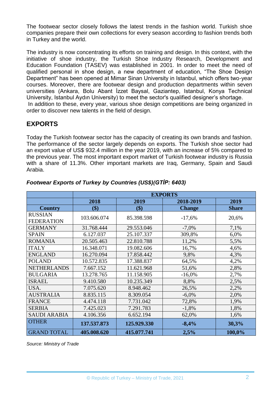The footwear sector closely follows the latest trends in the fashion world. Turkish shoe companies prepare their own collections for every season according to fashion trends both in Turkey and the world.

The industry is now concentrating its efforts on training and design. In this context, with the initiative of shoe industry, the Turkish Shoe Industry Research, Development and Education Foundation (TASEV) was established in 2001. In order to meet the need of qualified personal in shoe design, a new department of education, "The Shoe Design Department" has been opened at Mimar Sinan University in Istanbul, which offers two-year courses. Moreover, there are footwear design and production departments within seven universities (Ankara, Bolu Abant İzzet Baysal, Gaziantep, Istanbul, Konya Technical University, Istanbul Aydın University) to meet the sector's qualified designer's shortage. In addition to these, every year, various shoe design competitions are being organized in order to discover new talents in the field of design.

## **EXPORTS**

Today the Turkish footwear sector has the capacity of creating its own brands and fashion. The performance of the sector largely depends on exports. The Turkish shoe sector had an export value of US\$ 932.4 million in the year 2019, with an increase of 5% compared to the previous year. The most important export market of Turkish footwear industry is Russia with a share of 11.3%. Other important markets are Iraq, Germany, Spain and Saudi Arabia.

|                     | <b>EXPORTS</b> |             |               |              |  |
|---------------------|----------------|-------------|---------------|--------------|--|
|                     | 2018           | 2019        | 2018-2019     | 2019         |  |
| <b>Country</b>      | \$)            | \$)         | <b>Change</b> | <b>Share</b> |  |
| <b>RUSSIAN</b>      | 103.606.074    | 85.398.598  | $-17,6%$      | 20,6%        |  |
| <b>FEDERATION</b>   |                |             |               |              |  |
| <b>GERMANY</b>      | 31.768.444     | 29.553.046  | $-7,0\%$      | 7,1%         |  |
| <b>SPAIN</b>        | 6.127.037      | 25.107.337  | 309,8%        | 6,0%         |  |
| <b>ROMANIA</b>      | 20.505.463     | 22.810.788  | 11,2%         | 5,5%         |  |
| <b>ITALY</b>        | 16.348.071     | 19.082.606  | 16,7%         | 4,6%         |  |
| <b>ENGLAND</b>      | 16.270.094     | 17.858.442  | 9,8%          | 4,3%         |  |
| <b>POLAND</b>       | 10.572.835     | 17.388.837  | 64,5%         | 4,2%         |  |
| <b>NETHERLANDS</b>  | 7.667.152      | 11.621.968  | 51,6%         | 2,8%         |  |
| <b>BULGARIA</b>     | 13.278.765     | 11.158.905  | $-16,0%$      | 2,7%         |  |
| <b>ISRAEL</b>       | 9.410.580      | 10.235.349  | 8,8%          | 2,5%         |  |
| USA.                | 7.075.620      | 8.948.462   | 26,5%         | 2,2%         |  |
| <b>AUSTRALIA</b>    | 8.835.115      | 8.309.054   | $-6,0\%$      | 2,0%         |  |
| <b>FRANCE</b>       | 4.474.118      | 7.731.042   | 72,8%         | 1,9%         |  |
| <b>SERBIA</b>       | 7.425.023      | 7.291.783   | $-1,8%$       | 1,8%         |  |
| <b>SAUDI ARABIA</b> | 4.106.356      | 6.652.194   | 62,0%         | 1,6%         |  |
| <b>OTHER</b>        | 137.537.873    | 125.929.330 | $-8,4%$       | 30,3%        |  |
| <b>GRAND TOTAL</b>  | 405.008.620    | 415.077.741 | 2,5%          | 100,0%       |  |

#### *Footwear Exports of Turkey by Countries (US\$)(GTİP: 6403)*

*Source: Ministry of Trade*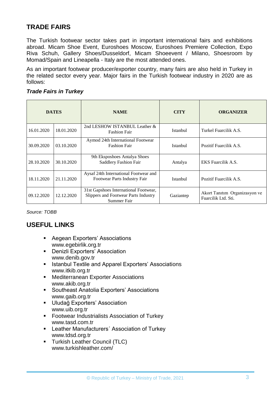## **TRADE FAIRS**

The Turkish footwear sector takes part in important international fairs and exhibitions abroad. Micam Shoe Event, Euroshoes Moscow, Euroshoes Premiere Collection, Expo Riva Schuh, Gallery Shoes/Dusseldorf, Micam Shoeevent / Milano, Shoesroom by Momad/Spain and Lineapella - Italy are the most attended ones.

As an important footwear producer/exporter country, many fairs are also held in Turkey in the related sector every year. Major fairs in the Turkish footwear industry in 2020 are as follows:

#### *Trade Fairs in Turkey*

| <b>DATES</b> |            | <b>NAME</b>                                                                                  | <b>CITY</b> | <b>ORGANIZER</b>                                     |
|--------------|------------|----------------------------------------------------------------------------------------------|-------------|------------------------------------------------------|
| 16.01.2020   | 18.01.2020 | 2nd LESHOW ISTANBUL Leather &<br><b>Fashion Fair</b>                                         | Istanbul    | Turkel Fuarcilik A.S.                                |
| 30.09.2020   | 03.10.2020 | Aymod 24th International Footwear<br><b>Fashion Fair</b>                                     | Istanbul    | Pozitif Fuarcilik A.S.                               |
| 28.10.2020   | 30.10.2020 | 9th Eksposhoes Antalya Shoes<br>Saddlery Fashion Fair                                        | Antalya     | EKS Fuarcilik A.S.                                   |
| 18.11.2020   | 21.11.2020 | Aysaf 24th International Footwear and<br>Footwear Parts Industry Fair                        | Istanbul    | Pozitif Fuarcilik A.S.                               |
| 09.12.2020   | 12.12.2020 | 31st Gapshoes International Footwear,<br>Slippers and Footwear Parts Industry<br>Summer Fair | Gaziantep   | Akort Tanıtım Organizasyon ve<br>Fuarcilik Ltd. Sti. |

*Source: TOBB*

### **USEFUL LINKS**

- **Aegean Exporters' Associations** [www.egebirlik.org.tr](http://www.egebirlik.org.tr/)
- **•** Denizli Exporters' Association [www.denib.gov.tr](http://www.denib.gov.tr/)
- **EXTERGHED IN TEXT IST AND IN THE ANGLE IS ASSOCIATIONS** [www.itkib.org.tr](http://www.itkib.org.tr/)
- **Mediterranean Exporter Associations** [www.akib.org.tr](http://www.akib.org.tr/)
- Southeast Anatolia Exporters' Associations [www.gaib.org.tr](http://www.gaib.org.tr/)
- **Uludağ Exporters' Association** [www.uib.org.tr](http://www.uib.org.tr/)
- Footwear Industrialists Association of Turkey [www.tasd.com.tr](http://www.tasd.com.tr/)
- **EXECT:** Leather Manufacturers' Association of Turkey [www.tdsd.org.tr](http://www.tdsd.org.tr/)
- **Turkish Leather Council (TLC)** www.turkishleather.com/